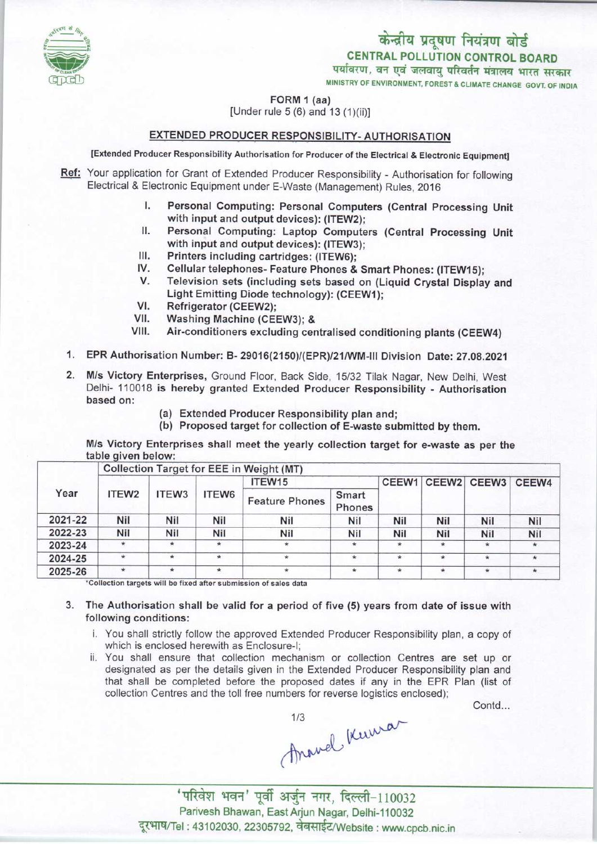

MINISTRY OF ENVIRONMENT, FOREST & CLIMATE CHANGE GOVT. OF INDIA



FORM 1 (aa)

[Under rule 5 (6) and 13 (1)(ii)]

## EXTENDED PRODUCER RESPONSIBILITY-AUTHORISATION

[Extended Producer Responsibility Authorisation for Producer of the Electrical & Electronic Equipment]

- Ref: Your application for Grant of Extended Producer Responsibility Authorisation for following Electrical & Electronic Equipment under E-Waste (Management) Rules, 2016
	- I. Personal Computing: Personal Computers (Central Processing Unit<br>I. Personal Computing: Personal Computers (Central Processing Unit<br>with input and output devices): (ITEW2) with input and output devices): (ITEW2);<br>Personal Computing: Laptop Computers (Central Processing Unit I. Personal Computing: Personal Computers (Central Processing Unit<br>with input and output devices): (ITEW2);<br>II. Personal Computing: Laptop Computers (Central Processing Unit<br>with input and output devices): (ITEW3);
	- with input and output devices): (ITEW3); II. Personal Computing: Laptop Computing with input and output devices): (ITEW;<br>III. Printers including cartridges: (ITEW6);<br>IV. Cellular telephones, Feature Phones &
	-
	- III. Printers including cartridges: (ITEW6);<br>IV. Cellular telephones- Feature Phones & Smart Phones: (ITEW15);<br>V. Television sets (including sets based on (Liquid Crystal Display
	- III. Printers including cartridges: (ITEW6);<br>V. Cellular telephones- Feature Phones & Smart Phones: (ITEW15);<br>V. Television sets (including sets based on (Liquid Crystal Display and<br>Light Emitting Diode tech Light Emitting Diode technology): (CEEW1); V. Television sets (inclu<br>Light Emitting Diode t<br>VI. Refrigerator (CEEW2);<br>VII. Washing Machine (CE
	-
	- VI. Refrigerator (CEEW2);<br>VII. Washing Machine (CEEW3); &<br>VIII. Air-conditioners excluding cer
	- Air-conditioners excluding centralised conditioning plants (CEEW4)
	- 1.EPR Authorisation Number: B- 29016(2150)/(EPR)/21/WM-lll Division Date: 27.08.2021
	- 2. M/s Victory Enterprises, Ground Floor, Back Side, 15/32 Tilak Nagar, New Delhi, West Delhi- 110018 is hereby granted Extended Producer Responsibility - Authorisation based on:
		- (a)Extended Producer Responsibility plan and;
		- (b) Proposed target for collection of E-waste submitted by them.

M/s Victory Enterprises shall meet the yearly collection target for e-waste as per the table given below:

| Conection Target for EEE in Weight (MT) |                   |         |                       |                 |         |         |         |             |
|-----------------------------------------|-------------------|---------|-----------------------|-----------------|---------|---------|---------|-------------|
| Year                                    | ITEW <sub>3</sub> | ITEW6   | ITEW15                |                 |         |         |         | CEEW4       |
| ITEW2                                   |                   |         | <b>Feature Phones</b> | Smart<br>Phones |         |         |         |             |
| Nil                                     | Nil               | Nil     | Nil                   | Nil             | Nil     | Nil     | Nil     | Nil         |
| Nil                                     | Nil               | Nil     | Nil                   | Nil             | Nil     | Nil     | Nil     | Nil         |
| $\ast$                                  |                   | $\star$ |                       |                 | $\star$ | $\star$ | $\star$ |             |
| $\star$                                 | $\star$           | $\star$ | $\star$               | $\star$         | $\star$ |         | $\star$ |             |
| $\star$                                 |                   | $\star$ |                       | $\star$         | $\star$ | $\star$ | $\star$ |             |
|                                         |                   |         |                       |                 |         |         | CEEW1   | CEEW2 CEEW3 |

Collection Targetfor EEE in Weight (MT)

\*Collection targets will be fixed after submission of sales data

- 3. The Authorisation shall be valid for a period of five (5) yearsfrom date of issue with following conditions:
	- i. You shall strictly follow the approved Extended Producer Responsibility plan, a copy of which is enclosed herewith as Enclosure-I;
	- ii. You shall ensure that collection mechanism or collection Centres are set up or designated as per the details given in the Extended Producer Responsibility plan and that shall be completed before the proposed dates if any in the EPR Plan (list of collection Centres and the toll free numbers for reverse logistics enclosed);

Contd...

Anowel Kenwar

' परिवेश भवन' पूर्वी अर्जुन नगर, दिल्ली-110032 Parivesh Bhawan, East Arjun Nagar, Delhi-110032 दूरभाष/Tel : 43102030, 22305792, वेबसाईट/Website : www.cpcb.nic.in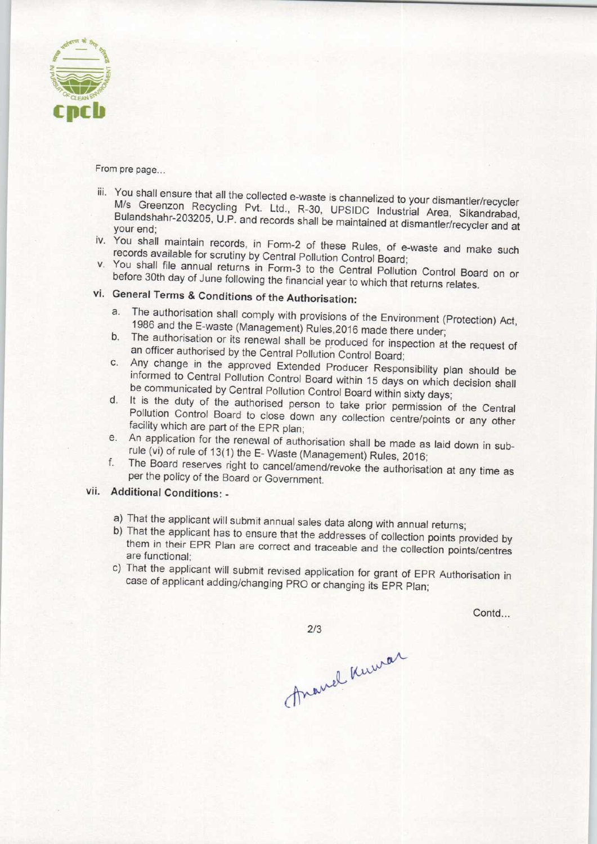

From pre page...

- iii. You shall ensure that all the collected e-waste is channelized to your dismantler/recycler M/s Greenzon Recycling Pvt. Ltd., R-30, UPSIDC Industrial Area, Sikandrabad, Bulandshahr-203205, U.P. and records shall be maintained at dismantler/recyclering and Bulandshahr-203205, U.P. and records shall be maintained at dismantler/recyclering your end;
- your end;<br>iv. You shall maintain records, in Form-2 of these Rules, of e-waste and make such records available for scrutiny by Central Pollution Control Board;
- v. You shall file annual returns in Form-3 to the Central Pollution Control Board on or before 30th day of June following the financial year to which that returns relates.

## vi. General Terms & Conditions of the Authorisation:

- a. The authorisation shall comply with provisions of the Environment (Protection) Act, 1986 and the E-waste (Management) Rules,2016 made there under;
- b. The authorisation or its renewal shall be produced for inspection at the request of an officer authorised by the Central Pollution Control Board;
- c.Any change in the approved Extended Producer Responsibility plan should be informed to Central Pollution Control Board within 15 days on which decision shall be communicated by Central Pollution Control Board within sixty days;
- d. It is the duty of the authorised person to take prior permission of the Central Pollution Control Board to close down any collection centre/points or any other facility which are part of the EPR plan;
- e. An application for the renewal of authorisation shall be made as laid down in subrule (vi) of rule of 13(1) the E-Waste (Management) Rules, 2016;
- f. The Board reserves right to cancel/amend/revoke the authorisation at any time as per the policy of the Board or Government.

## vii. Additional Conditions: -

- a)That the applicant will submit annual sales data along with annual returns;
- b) That the applicant has to ensure that the addresses of collection points provided by them in their EPR Plan are correct and traceable and the collection points/centres are functional;
- c) That the applicant will submit revised application for grant of EPR Authorisation in case of applicant adding/changing PRO or changing its EPR Plan;

Contd...

 $2/3$ 

Anavel Kumar